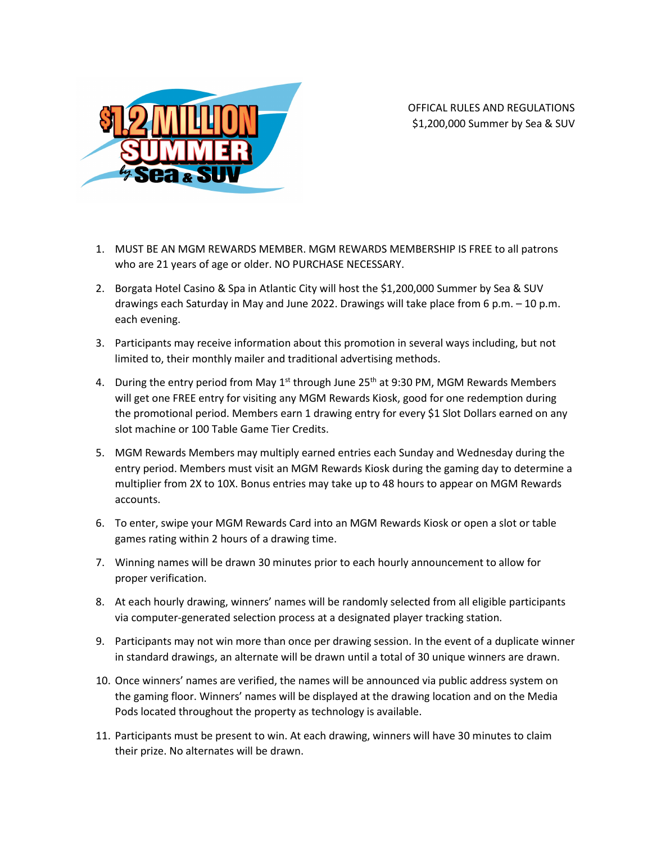

OFFICAL RULES AND REGULATIONS \$1,200,000 Summer by Sea & SUV

- 1. MUST BE AN MGM REWARDS MEMBER. MGM REWARDS MEMBERSHIP IS FREE to all patrons who are 21 years of age or older. NO PURCHASE NECESSARY.
- 2. Borgata Hotel Casino & Spa in Atlantic City will host the \$1,200,000 Summer by Sea & SUV drawings each Saturday in May and June 2022. Drawings will take place from 6 p.m. – 10 p.m. each evening.
- 3. Participants may receive information about this promotion in several ways including, but not limited to, their monthly mailer and traditional advertising methods.
- 4. During the entry period from May  $1<sup>st</sup>$  through June 25<sup>th</sup> at 9:30 PM, MGM Rewards Members will get one FREE entry for visiting any MGM Rewards Kiosk, good for one redemption during the promotional period. Members earn 1 drawing entry for every \$1 Slot Dollars earned on any slot machine or 100 Table Game Tier Credits.
- 5. MGM Rewards Members may multiply earned entries each Sunday and Wednesday during the entry period. Members must visit an MGM Rewards Kiosk during the gaming day to determine a multiplier from 2X to 10X. Bonus entries may take up to 48 hours to appear on MGM Rewards accounts.
- 6. To enter, swipe your MGM Rewards Card into an MGM Rewards Kiosk or open a slot or table games rating within 2 hours of a drawing time.
- 7. Winning names will be drawn 30 minutes prior to each hourly announcement to allow for proper verification.
- 8. At each hourly drawing, winners' names will be randomly selected from all eligible participants via computer-generated selection process at a designated player tracking station.
- 9. Participants may not win more than once per drawing session. In the event of a duplicate winner in standard drawings, an alternate will be drawn until a total of 30 unique winners are drawn.
- 10. Once winners' names are verified, the names will be announced via public address system on the gaming floor. Winners' names will be displayed at the drawing location and on the Media Pods located throughout the property as technology is available.
- 11. Participants must be present to win. At each drawing, winners will have 30 minutes to claim their prize. No alternates will be drawn.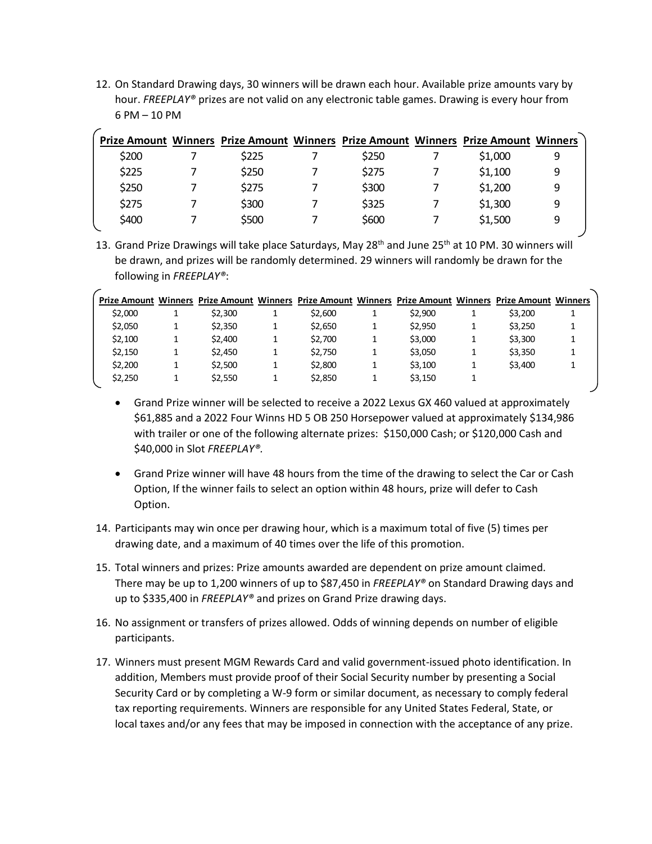12. On Standard Drawing days, 30 winners will be drawn each hour. Available prize amounts vary by hour. *FREEPLAY®* prizes are not valid on any electronic table games. Drawing is every hour from 6 PM – 10 PM

|       | Prize Amount Winners Prize Amount Winners Prize Amount Winners Prize Amount Winners |       |         |   |
|-------|-------------------------------------------------------------------------------------|-------|---------|---|
| \$200 | \$225                                                                               | \$250 | \$1,000 | 9 |
| \$225 | \$250                                                                               | \$275 | \$1,100 | 9 |
| \$250 | \$275                                                                               | \$300 | \$1,200 | 9 |
| \$275 | \$300                                                                               | \$325 | \$1,300 | 9 |
| \$400 | \$500                                                                               | \$600 | \$1,500 | 9 |

13. Grand Prize Drawings will take place Saturdays, May 28<sup>th</sup> and June 25<sup>th</sup> at 10 PM. 30 winners will be drawn, and prizes will be randomly determined. 29 winners will randomly be drawn for the following in *FREEPLAY®*:

|         |         |         |   |         | Prize Amount Winners Prize Amount Winners Prize Amount Winners Prize Amount Winners Prize Amount Winners |  |
|---------|---------|---------|---|---------|----------------------------------------------------------------------------------------------------------|--|
| \$2,000 | \$2,300 | \$2,600 |   | \$2,900 | \$3,200                                                                                                  |  |
| \$2,050 | \$2,350 | \$2.650 |   | \$2.950 | \$3,250                                                                                                  |  |
| \$2.100 | \$2,400 | \$2.700 | 1 | \$3,000 | \$3,300                                                                                                  |  |
| \$2.150 | \$2,450 | \$2.750 |   | \$3,050 | \$3,350                                                                                                  |  |
| \$2.200 | \$2.500 | \$2,800 | 1 | \$3.100 | \$3,400                                                                                                  |  |
| \$2,250 | \$2,550 | \$2.850 |   | \$3.150 |                                                                                                          |  |

- Grand Prize winner will be selected to receive a 2022 Lexus GX 460 valued at approximately \$61,885 and a 2022 Four Winns HD 5 OB 250 Horsepower valued at approximately \$134,986 with trailer or one of the following alternate prizes: \$150,000 Cash; or \$120,000 Cash and \$40,000 in Slot *FREEPLAY®.*
- Grand Prize winner will have 48 hours from the time of the drawing to select the Car or Cash Option, If the winner fails to select an option within 48 hours, prize will defer to Cash Option.
- 14. Participants may win once per drawing hour, which is a maximum total of five (5) times per drawing date, and a maximum of 40 times over the life of this promotion.
- 15. Total winners and prizes: Prize amounts awarded are dependent on prize amount claimed. There may be up to 1,200 winners of up to \$87,450 in *FREEPLAY®* on Standard Drawing days and up to \$335,400 in *FREEPLAY®* and prizes on Grand Prize drawing days.
- 16. No assignment or transfers of prizes allowed. Odds of winning depends on number of eligible participants.
- 17. Winners must present MGM Rewards Card and valid government-issued photo identification. In addition, Members must provide proof of their Social Security number by presenting a Social Security Card or by completing a W-9 form or similar document, as necessary to comply federal tax reporting requirements. Winners are responsible for any United States Federal, State, or local taxes and/or any fees that may be imposed in connection with the acceptance of any prize.